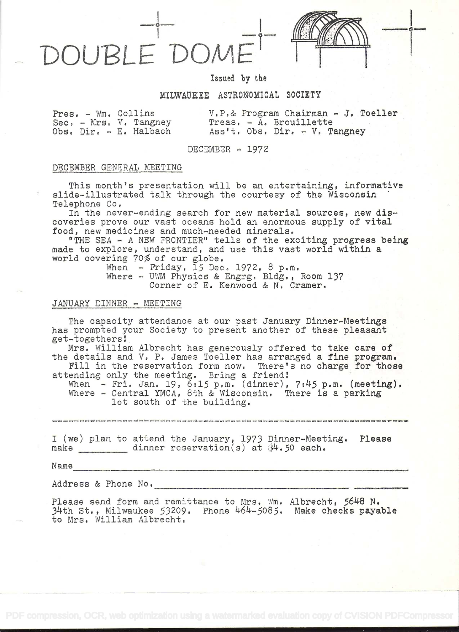



# Issued by the

## MILWAUKEE ASTRONOMICAL SOCIETY

|  | Pres. - Wm. Collins    |
|--|------------------------|
|  | Sec. - Mrs. V. Tangney |
|  | Obs. Dir. - E. Halbach |

 $V.P. & Program Chairman - J. Toeller$ Treas. - A. Brouillette Ass't, Obs. Dir. - V. Tangney

DECEMBER  $- 1972$ 

# DECEMBER GENERAL MEETING

This month's presentation will be an entertaining, informative slide-illustrated talk through the courtesy of the Wisconsin Telephone Co

In the never-ending search for new material sources, new discoveries prove our vast oceans hold an enormous supply of vital food, new medicines and much-needed minerals,

"THE SEA - A NEW FRONTIER" tells of the exciting progress being made to explore, understand, and use this vast world within a world covering 70% of our globe.

When  $-$  Friday,  $15$  Dec. 1972, 8 p.m. Where - UWM Physics & Engrg. Bldg., Room 137 Corner of E. Kenwood & N. Cramer,

## JANUARY DINNER - MEETING

The capacity attendance at our past January Dinner-Meetings has prompted your Society to present another of these pleasant get-togethers

Mrs. William Albrecht has generously offered to take care of the details and V, P. James Toeller has arranged a fine program.

Fill in the reservation form now. There's no charge for those attending only the meeting. Bring a friend

When - Fri. Jan. 19, 6:15 p.m. (dinner), 7:45 p.m. (meeting). Where - Central YMCA, 8th & Wisconsin. There is a parking lot south of the building.

.<br>1980 - 1990 - 1994 - 1994 - 1996 - 1997 - 1997 - 1997 - 1998 - 1999 - 1999 - 1999 - 1999 - 1999 - 1999 - 1999 - 1999 - 1999 - 1999 - 1999 - 1999 - 1999 - 1999 - 1999 - 1999 - 1999 - 199

<sup>I</sup>(we) plan to attend the January, 1973 Dinner-Meeting. Please make dinner reservation(s) at \$4.50 each.

Name

Address & Phone No.

Please send form and remittance to Mrs. Wm. Albrecht, 5648 N. 34th St., Milwaukee 53209. Phone 464-5085. Make checks payable to Mrs. William Albrecht.